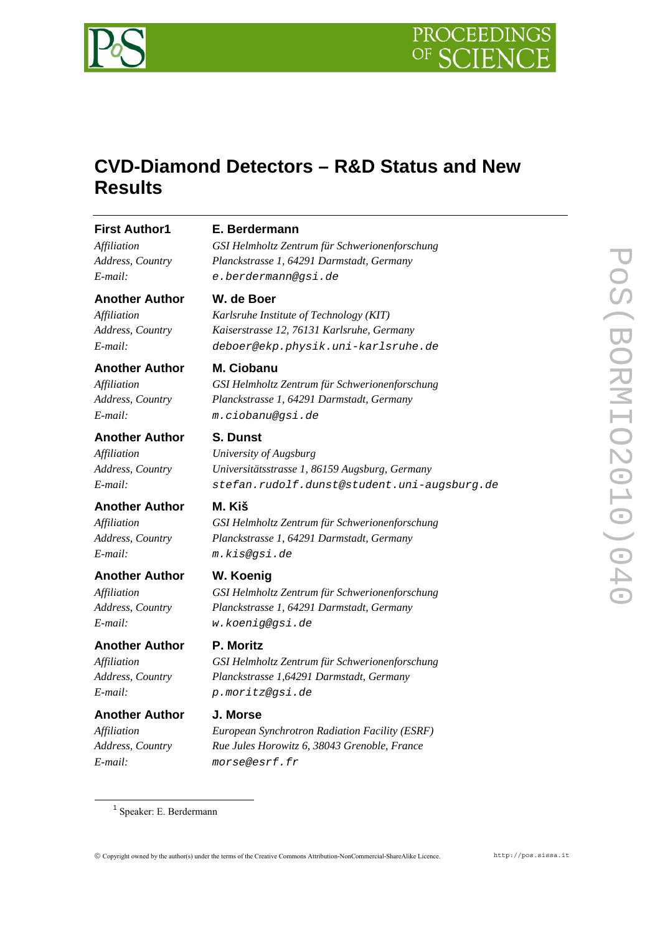

# **CVD-Diamond Detectors – R&D Status and New Results**

# **Another Author W. de Boer**

# **First Autho[r1](#page-0-0) E. Berdermann**

*Affiliation GSI Helmholtz Zentrum für Schwerionenforschung Address, Country Planckstrasse 1, 64291 Darmstadt, Germany E-mail: e.berdermann@gsi.de*

*Affiliation Karlsruhe Institute of Technology (KIT) Address, Country Kaiserstrasse 12, 76131 Karlsruhe, Germany E-mail: [deboer@ekp.physik.uni-karlsruhe.de](mailto:deboer@ekp.physik.uni-karlsruhe.de)*

# **Another Author M. Ciobanu**

*Affiliation GSI Helmholtz Zentrum für Schwerionenforschung Address, Country Planckstrasse 1, 64291 Darmstadt, Germany E-mail: m.ciobanu@gsi.de* 

**Another Author S. Dunst** 

*Affiliation University of Augsburg Address, Country Universitätsstrasse 1, 86159 Augsburg, Germany E-mail: stefan.rudolf.dunst@student.uni-augsburg.de*

# **Another Author M. Kiš**

*Affiliation GSI Helmholtz Zentrum für Schwerionenforschung Address, Country Planckstrasse 1, 64291 Darmstadt, Germany E-mail: m.kis@gsi.de* 

# **Another Author W. Koenig**

*Affiliation GSI Helmholtz Zentrum für Schwerionenforschung Address, Country Planckstrasse 1, 64291 Darmstadt, Germany E-mail: w.koenig@gsi.de* 

# **Another Author P. Moritz**

*Affiliation GSI Helmholtz Zentrum für Schwerionenforschung Address, Country Planckstrasse 1,64291 Darmstadt, Germany E-mail: p.moritz@gsi.de* 

# **Another Author J. Morse**

 $\overline{\phantom{0}}$ 

*Affiliation European Synchrotron Radiation Facility (ESRF) Address, Country Rue Jules Horowitz 6, 38043 Grenoble, France E-mail: [morse@esrf.fr](mailto:morse@esrf.fr)*

<span id="page-0-0"></span>Speaker: E. Berdermann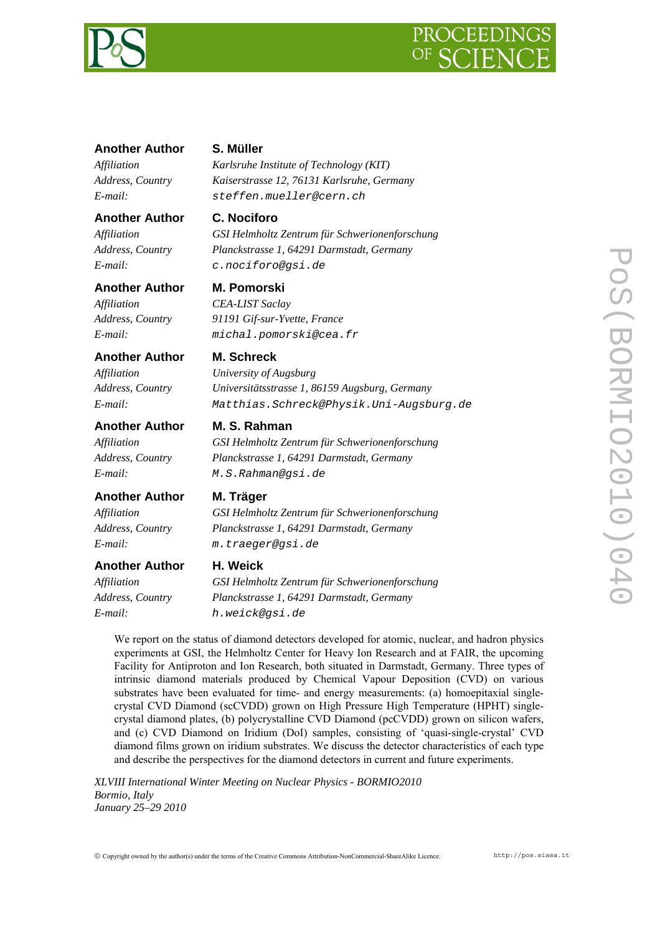

# **Another Author S. Müller**

# **Another Author C. Nociforo**

# **Another Author M. Pomorski**

*Affiliation CEA-LIST Saclay* 

# **Another Author M. Schreck**

# **Another Author M. S. Rahman**

# **Another Author M. Träger**

# **Another Author H. Weick**

*Affiliation Karlsruhe Institute of Technology (KIT) Address, Country Kaiserstrasse 12, 76131 Karlsruhe, Germany E-mail: [steffen.mueller@cern.ch](mailto:steffen.mueller@cern.ch)*

*Affiliation GSI Helmholtz Zentrum für Schwerionenforschung Address, Country Planckstrasse 1, 64291 Darmstadt, Germany E-mail: c.nociforo@gsi.de* 

*Address, Country 91191 Gif-sur-Yvette, France E-mail: michal.pomorski@cea.fr* 

*Affiliation University of Augsburg Address, Country Universitätsstrasse 1, 86159 Augsburg, Germany E-mail: Matthias.Schreck@Physik.Uni-Augsburg.de* 

*Affiliation GSI Helmholtz Zentrum für Schwerionenforschung Address, Country Planckstrasse 1, 64291 Darmstadt, Germany E-mail: M.S.Rahman@gsi.de* 

*Affiliation GSI Helmholtz Zentrum für Schwerionenforschung Address, Country Planckstrasse 1, 64291 Darmstadt, Germany E-mail: [m.traeger@gsi.de](mailto:m.traeger@gsi.de)*

*Affiliation GSI Helmholtz Zentrum für Schwerionenforschung Address, Country Planckstrasse 1, 64291 Darmstadt, Germany E-mail: h.weick@gsi.de* 

We report on the status of diamond detectors developed for atomic, nuclear, and hadron physics experiments at GSI, the Helmholtz Center for Heavy Ion Research and at FAIR, the upcoming Facility for Antiproton and Ion Research, both situated in Darmstadt, Germany. Three types of intrinsic diamond materials produced by Chemical Vapour Deposition (CVD) on various substrates have been evaluated for time- and energy measurements: (a) homoepitaxial singlecrystal CVD Diamond (scCVDD) grown on High Pressure High Temperature (HPHT) singlecrystal diamond plates, (b) polycrystalline CVD Diamond (pcCVDD) grown on silicon wafers, and (c) CVD Diamond on Iridium (DoI) samples, consisting of 'quasi-single-crystal' CVD diamond films grown on iridium substrates. We discuss the detector characteristics of each type and describe the perspectives for the diamond detectors in current and future experiments.

*XLVIII International Winter Meeting on Nuclear Physics - BORMIO2010 Bormio, Italy January 25–29 2010*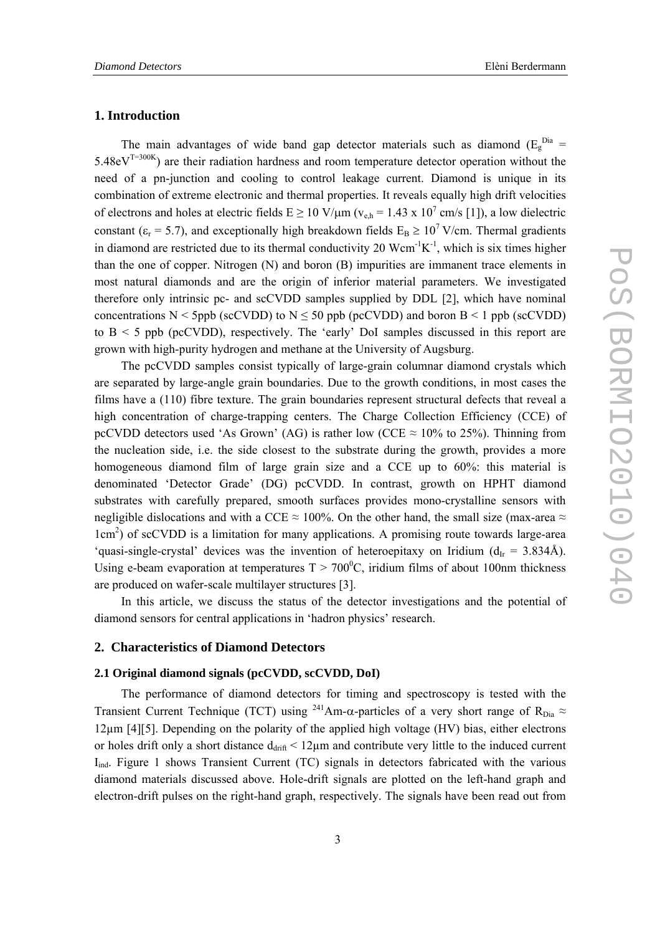### **1. Introduction**

The main advantages of wide band gap detector materials such as diamond  $(E_g^{\text{Dia}} =$  $5.48 \text{eV}^{\text{T=300K}}$ ) are their radiation hardness and room temperature detector operation without the need of a pn-junction and cooling to control leakage current. Diamond is unique in its combination of extreme electronic and thermal properties. It reveals equally high drift velocities of electrons and holes at electric fields  $E \ge 10 \text{ V/}\mu\text{m}$  ( $v_{e,h} = 1.43 \text{ x } 10^7 \text{ cm/s}$  [1]), a low dielectric constant ( $\varepsilon_r$  = 5.7), and exceptionally high breakdown fields  $E_B \ge 10^7$  V/cm. Thermal gradients in diamond are restricted due to its thermal conductivity 20 Wcm<sup>-1</sup>K<sup>-1</sup>, which is six times higher than the one of copper. Nitrogen (N) and boron (B) impurities are immanent trace elements in most natural diamonds and are the origin of inferior material parameters. We investigated therefore only intrinsic pc- and scCVDD samples supplied by DDL [2], which have nominal concentrations  $N \leq 5p$  (scCVDD) to  $N \leq 50$  ppb (pcCVDD) and boron  $B \leq 1$  ppb (scCVDD) to B < 5 ppb (pcCVDD), respectively. The 'early' DoI samples discussed in this report are grown with high-purity hydrogen and methane at the University of Augsburg.

The pcCVDD samples consist typically of large-grain columnar diamond crystals which are separated by large-angle grain boundaries. Due to the growth conditions, in most cases the films have a (110) fibre texture. The grain boundaries represent structural defects that reveal a high concentration of charge-trapping centers. The Charge Collection Efficiency (CCE) of pcCVDD detectors used 'As Grown' (AG) is rather low (CCE  $\approx$  10% to 25%). Thinning from the nucleation side, i.e. the side closest to the substrate during the growth, provides a more homogeneous diamond film of large grain size and a CCE up to 60%: this material is denominated 'Detector Grade' (DG) pcCVDD. In contrast, growth on HPHT diamond substrates with carefully prepared, smooth surfaces provides mono-crystalline sensors with negligible dislocations and with a CCE  $\approx$  100%. On the other hand, the small size (max-area  $\approx$ 1cm<sup>2</sup>) of scCVDD is a limitation for many applications. A promising route towards large-area 'quasi-single-crystal' devices was the invention of heteroepitaxy on Iridium ( $d<sub>Ir</sub> = 3.834$ Å). Using e-beam evaporation at temperatures  $T > 700^{\circ}$ C, iridium films of about 100nm thickness are produced on wafer-scale multilayer structures [3].

In this article, we discuss the status of the detector investigations and the potential of diamond sensors for central applications in 'hadron physics' research.

### **2. Characteristics of Diamond Detectors**

### **2.1 Original diamond signals (pcCVDD, scCVDD, DoI)**

The performance of diamond detectors for timing and spectroscopy is tested with the Transient Current Technique (TCT) using <sup>241</sup>Am- $\alpha$ -particles of a very short range of R<sub>Dia</sub>  $\approx$ 12µm [4][5]. Depending on the polarity of the applied high voltage (HV) bias, either electrons or holes drift only a short distance  $d_{drift}$  < 12 $\mu$ m and contribute very little to the induced current I<sub>ind</sub>. Figure 1 shows Transient Current (TC) signals in detectors fabricated with the various diamond materials discussed above. Hole-drift signals are plotted on the left-hand graph and electron-drift pulses on the right-hand graph, respectively. The signals have been read out from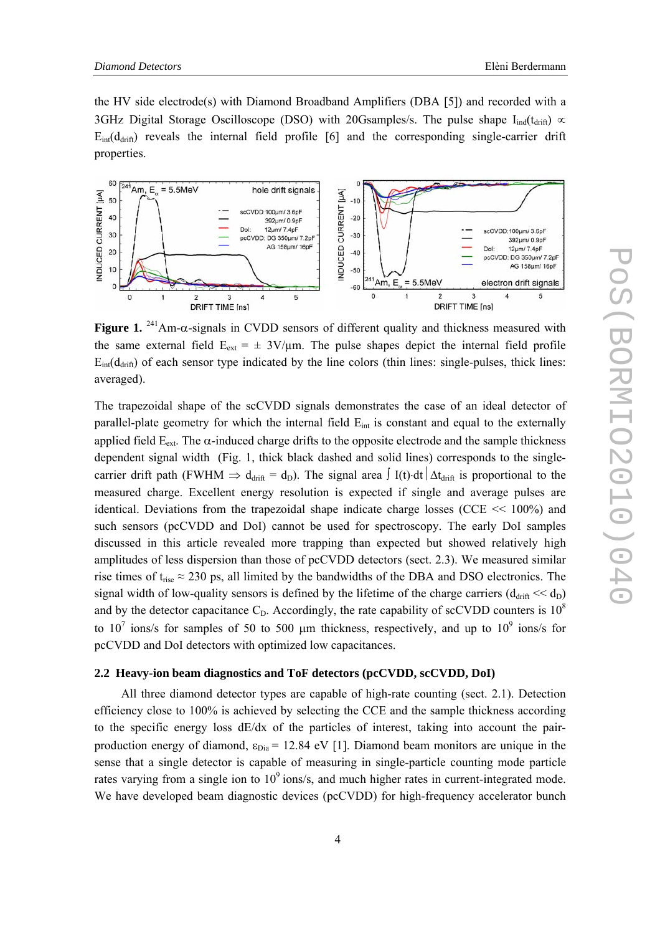the HV side electrode(s) with Diamond Broadband Amplifiers (DBA [5]) and recorded with a 3GHz Digital Storage Oscilloscope (DSO) with 20Gsamples/s. The pulse shape I<sub>ind</sub>(t<sub>drift</sub>) ∝  $E_{int}(d_{drift})$  reveals the internal field profile [6] and the corresponding single-carrier drift properties.



**Figure 1.** 241Am-α-signals in CVDD sensors of different quality and thickness measured with the same external field  $E_{ext} = \pm 3V/\mu m$ . The pulse shapes depict the internal field profile  $E_{int}(d_{drift})$  of each sensor type indicated by the line colors (thin lines: single-pulses, thick lines: averaged).

The trapezoidal shape of the scCVDD signals demonstrates the case of an ideal detector of parallel-plate geometry for which the internal field E<sub>int</sub> is constant and equal to the externally applied field  $E_{ext}$ . The  $\alpha$ -induced charge drifts to the opposite electrode and the sample thickness dependent signal width (Fig. 1, thick black dashed and solid lines) corresponds to the singlecarrier drift path (FWHM  $\Rightarrow$  d<sub>drift</sub> = d<sub>D</sub>). The signal area  $\int I(t) \cdot dt | \Delta t_{drift}$  is proportional to the measured charge. Excellent energy resolution is expected if single and average pulses are identical. Deviations from the trapezoidal shape indicate charge losses (CCE << 100%) and such sensors (pcCVDD and DoI) cannot be used for spectroscopy. The early DoI samples discussed in this article revealed more trapping than expected but showed relatively high amplitudes of less dispersion than those of pcCVDD detectors (sect. 2.3). We measured similar rise times of t<sub>rise</sub>  $\approx$  230 ps, all limited by the bandwidths of the DBA and DSO electronics. The signal width of low-quality sensors is defined by the lifetime of the charge carriers  $(d_{drift} \ll d_D)$ and by the detector capacitance  $C_D$ . Accordingly, the rate capability of scCVDD counters is 10<sup>8</sup> to 10<sup>7</sup> ions/s for samples of 50 to 500  $\mu$ m thickness, respectively, and up to 10<sup>9</sup> ions/s for pcCVDD and DoI detectors with optimized low capacitances.

### **2.2\_Heavy-ion beam diagnostics and ToF detectors (pcCVDD, scCVDD, DoI)**

All three diamond detector types are capable of high-rate counting (sect. 2.1). Detection efficiency close to 100% is achieved by selecting the CCE and the sample thickness according to the specific energy loss  $dE/dx$  of the particles of interest, taking into account the pairproduction energy of diamond,  $\varepsilon_{\text{Dia}} = 12.84 \text{ eV}$  [1]. Diamond beam monitors are unique in the sense that a single detector is capable of measuring in single-particle counting mode particle rates varying from a single ion to  $10^9$  ions/s, and much higher rates in current-integrated mode. We have developed beam diagnostic devices (pcCVDD) for high-frequency accelerator bunch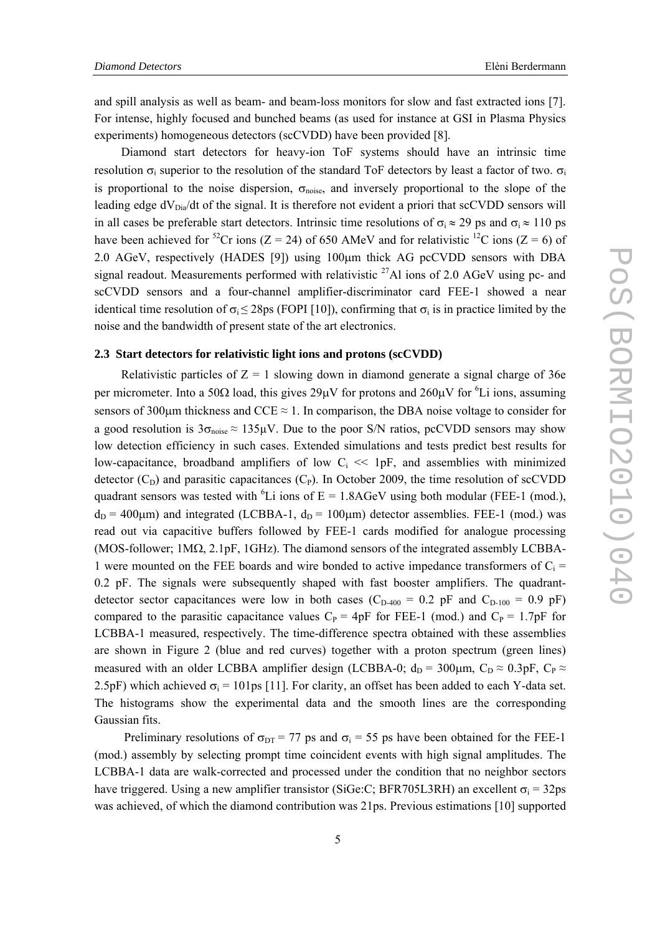and spill analysis as well as beam- and beam-loss monitors for slow and fast extracted ions [7]. For intense, highly focused and bunched beams (as used for instance at GSI in Plasma Physics experiments) homogeneous detectors (scCVDD) have been provided [8].

Diamond start detectors for heavy-ion ToF systems should have an intrinsic time resolution  $\sigma_i$  superior to the resolution of the standard ToF detectors by least a factor of two.  $\sigma_i$ is proportional to the noise dispersion,  $\sigma_{noise}$ , and inversely proportional to the slope of the leading edge  $dV_{Dia}/dt$  of the signal. It is therefore not evident a priori that scCVDD sensors will in all cases be preferable start detectors. Intrinsic time resolutions of  $\sigma_i \approx 29$  ps and  $\sigma_i \approx 110$  ps have been achieved for <sup>52</sup>Cr ions (Z = 24) of 650 AMeV and for relativistic <sup>12</sup>C ions (Z = 6) of 2.0 AGeV, respectively (HADES [9]) using 100µm thick AG pcCVDD sensors with DBA signal readout. Measurements performed with relativistic  $27$ Al ions of 2.0 AGeV using pc- and scCVDD sensors and a four-channel amplifier-discriminator card FEE-1 showed a near identical time resolution of  $\sigma_i \leq 28 \text{ps}$  (FOPI [10]), confirming that  $\sigma_i$  is in practice limited by the noise and the bandwidth of present state of the art electronics.

### **2.3\_Start detectors for relativistic light ions and protons (scCVDD)**

Relativistic particles of  $Z = 1$  slowing down in diamond generate a signal charge of 36e per micrometer. Into a 50 $\Omega$  load, this gives 29 $\mu$ V for protons and 260 $\mu$ V for <sup>6</sup>Li ions, assuming sensors of 300 $\mu$ m thickness and CCE  $\approx$  1. In comparison, the DBA noise voltage to consider for a good resolution is  $3\sigma_{noise} \approx 135 \mu V$ . Due to the poor S/N ratios, pcCVDD sensors may show low detection efficiency in such cases. Extended simulations and tests predict best results for low-capacitance, broadband amplifiers of low  $C_i \ll 1pF$ , and assemblies with minimized detector  $(C_D)$  and parasitic capacitances  $(C_P)$ . In October 2009, the time resolution of scCVDD quadrant sensors was tested with  ${}^{6}Li$  ions of  $E = 1.8$ AGeV using both modular (FEE-1 (mod.),  $d_D = 400 \mu m$ ) and integrated (LCBBA-1,  $d_D = 100 \mu m$ ) detector assemblies. FEE-1 (mod.) was read out via capacitive buffers followed by FEE-1 cards modified for analogue processing (MOS-follower; 1MΩ, 2.1pF, 1GHz). The diamond sensors of the integrated assembly LCBBA-1 were mounted on the FEE boards and wire bonded to active impedance transformers of  $C_i$  = 0.2 pF. The signals were subsequently shaped with fast booster amplifiers. The quadrantdetector sector capacitances were low in both cases ( $C_{D-400} = 0.2$  pF and  $C_{D-100} = 0.9$  pF) compared to the parasitic capacitance values  $C_P = 4pF$  for FEE-1 (mod.) and  $C_P = 1.7pF$  for LCBBA-1 measured, respectively. The time-difference spectra obtained with these assemblies are shown in Figure 2 (blue and red curves) together with a proton spectrum (green lines) measured with an older LCBBA amplifier design (LCBBA-0;  $d_D = 300 \mu m$ ,  $C_D \approx 0.3pF$ ,  $C_P \approx$ 2.5pF) which achieved  $\sigma_i = 101 \text{ps}$  [11]. For clarity, an offset has been added to each Y-data set. The histograms show the experimental data and the smooth lines are the corresponding Gaussian fits.

Preliminary resolutions of  $\sigma_{DT} = 77$  ps and  $\sigma_i = 55$  ps have been obtained for the FEE-1 (mod.) assembly by selecting prompt time coincident events with high signal amplitudes. The LCBBA-1 data are walk-corrected and processed under the condition that no neighbor sectors have triggered. Using a new amplifier transistor (SiGe:C; BFR705L3RH) an excellent  $\sigma_i = 32 \text{ps}$ was achieved, of which the diamond contribution was 21ps. Previous estimations [10] supported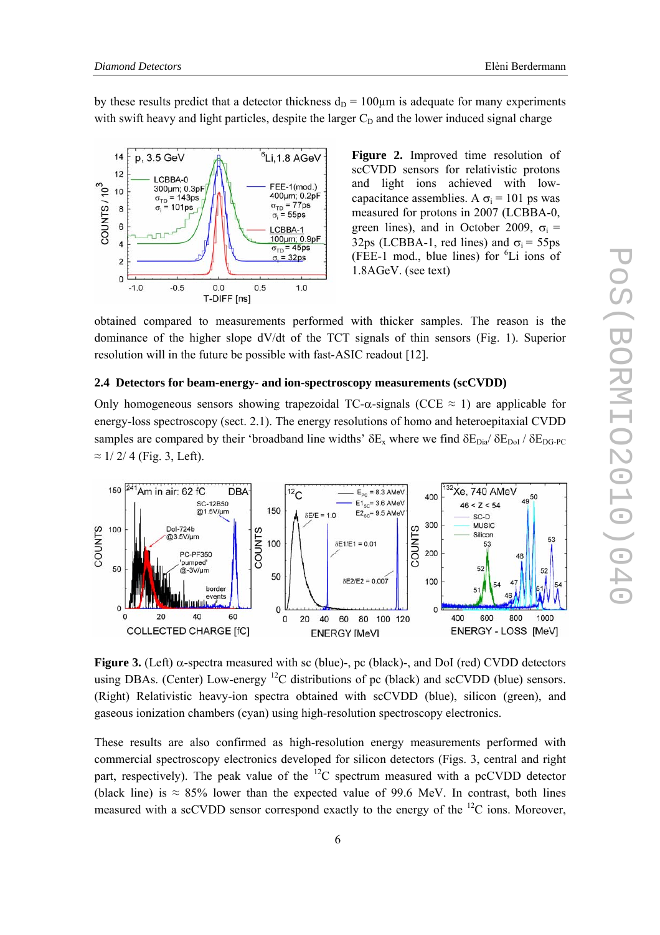by these results predict that a detector thickness  $d<sub>D</sub> = 100 \mu m$  is adequate for many experiments with swift heavy and light particles, despite the larger  $C<sub>D</sub>$  and the lower induced signal charge



**Figure 2.** Improved time resolution of scCVDD sensors for relativistic protons and light ions achieved with lowcapacitance assemblies. A  $\sigma_i$  = 101 ps was measured for protons in 2007 (LCBBA-0, green lines), and in October 2009,  $\sigma_i$  = 32ps (LCBBA-1, red lines) and  $\sigma_i$  = 55ps (FEE-1 mod., blue lines) for  ${}^{6}Li$  ions of 1.8AGeV. (see text)

obtained compared to measurements performed with thicker samples. The reason is the dominance of the higher slope dV/dt of the TCT signals of thin sensors (Fig. 1). Superior resolution will in the future be possible with fast-ASIC readout [12].

### **2.4\_Detectors for beam-energy- and ion-spectroscopy measurements (scCVDD)**

Only homogeneous sensors showing trapezoidal TC- $\alpha$ -signals (CCE  $\approx$  1) are applicable for energy-loss spectroscopy (sect. 2.1). The energy resolutions of homo and heteroepitaxial CVDD samples are compared by their 'broadband line widths'  $\delta E_x$  where we find  $\delta E_{Dia}/\delta E_{Dof}/\delta E_{DG-PC}$  $\approx 1/2/4$  (Fig. 3, Left).



**Figure 3.** (Left) α-spectra measured with sc (blue)-, pc (black)-, and DoI (red) CVDD detectors using DBAs. (Center) Low-energy  ${}^{12}C$  distributions of pc (black) and scCVDD (blue) sensors. (Right) Relativistic heavy-ion spectra obtained with scCVDD (blue), silicon (green), and gaseous ionization chambers (cyan) using high-resolution spectroscopy electronics.

These results are also confirmed as high-resolution energy measurements performed with commercial spectroscopy electronics developed for silicon detectors (Figs. 3, central and right part, respectively). The peak value of the  $^{12}C$  spectrum measured with a pcCVDD detector (black line) is  $\approx 85\%$  lower than the expected value of 99.6 MeV. In contrast, both lines measured with a scCVDD sensor correspond exactly to the energy of the  ${}^{12}C$  ions. Moreover,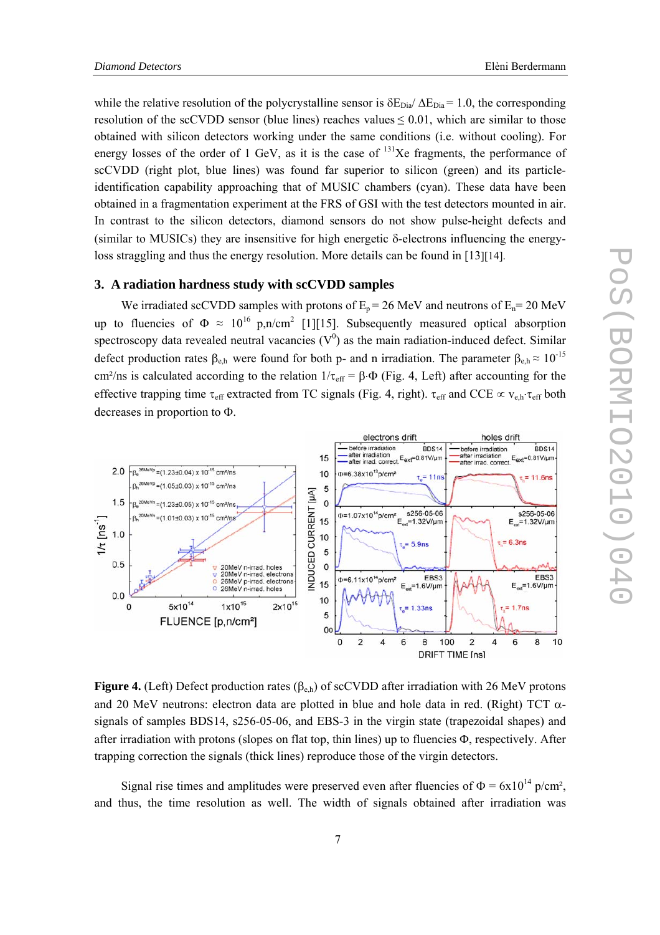while the relative resolution of the polycrystalline sensor is  $\delta E_{Dia}/\Delta E_{Dia} = 1.0$ , the corresponding resolution of the scCVDD sensor (blue lines) reaches values  $\leq 0.01$ , which are similar to those obtained with silicon detectors working under the same conditions (i.e. without cooling). For energy losses of the order of 1 GeV, as it is the case of  $^{131}$ Xe fragments, the performance of scCVDD (right plot, blue lines) was found far superior to silicon (green) and its particleidentification capability approaching that of MUSIC chambers (cyan). These data have been obtained in a fragmentation experiment at the FRS of GSI with the test detectors mounted in air. In contrast to the silicon detectors, diamond sensors do not show pulse-height defects and (similar to MUSICs) they are insensitive for high energetic δ-electrons influencing the energyloss straggling and thus the energy resolution. More details can be found in [13][14].

### **3.\_A radiation hardness study with scCVDD samples**

We irradiated scCVDD samples with protons of  $E_p = 26$  MeV and neutrons of  $E_n = 20$  MeV up to fluencies of  $\Phi \approx 10^{16}$  p,n/cm<sup>2</sup> [1][15]. Subsequently measured optical absorption spectroscopy data revealed neutral vacancies  $(V^0)$  as the main radiation-induced defect. Similar defect production rates  $\beta_{e,h}$  were found for both p- and n irradiation. The parameter  $\beta_{e,h} \approx 10^{-15}$ cm<sup>2</sup>/ns is calculated according to the relation  $1/\tau_{\text{eff}} = \beta \cdot \Phi$  (Fig. 4, Left) after accounting for the effective trapping time  $\tau_{\rm eff}$  extracted from TC signals (Fig. 4, right).  $\tau_{\rm eff}$  and CCE  $\propto$  v<sub>e.h</sub>⋅ $\tau_{\rm eff}$  both decreases in proportion to Φ.



**Figure 4.** (Left) Defect production rates  $(\beta_{eh})$  of scCVDD after irradiation with 26 MeV protons and 20 MeV neutrons: electron data are plotted in blue and hole data in red. (Right) TCT  $\alpha$ signals of samples BDS14, s256-05-06, and EBS-3 in the virgin state (trapezoidal shapes) and after irradiation with protons (slopes on flat top, thin lines) up to fluencies Φ, respectively. After trapping correction the signals (thick lines) reproduce those of the virgin detectors.

Signal rise times and amplitudes were preserved even after fluencies of  $\Phi = 6x10^{14}$  p/cm<sup>2</sup>, and thus, the time resolution as well. The width of signals obtained after irradiation was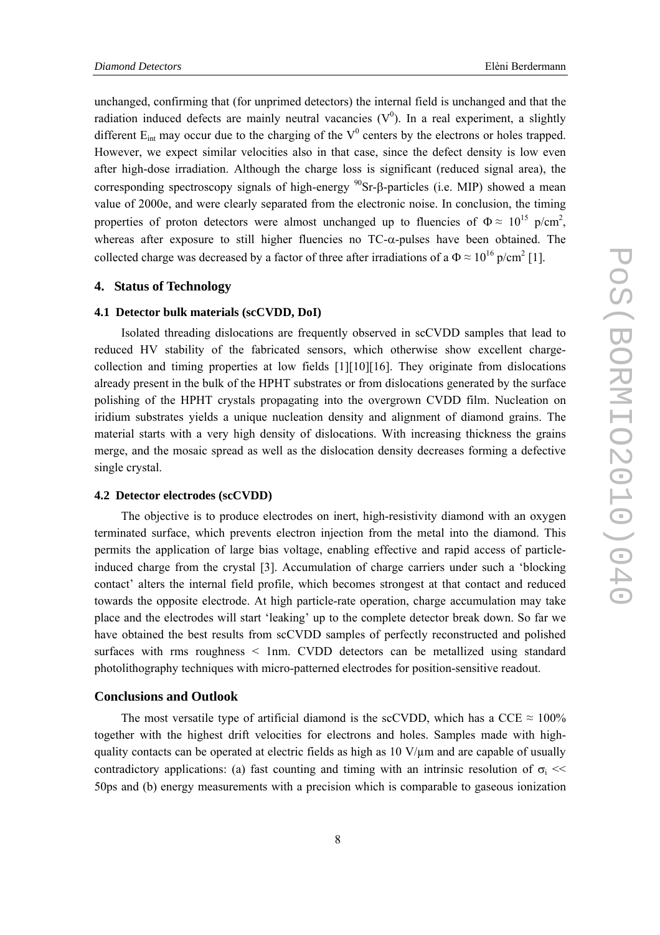unchanged, confirming that (for unprimed detectors) the internal field is unchanged and that the radiation induced defects are mainly neutral vacancies  $(V<sup>0</sup>)$ . In a real experiment, a slightly different  $E_{int}$  may occur due to the charging of the  $V^0$  centers by the electrons or holes trapped. However, we expect similar velocities also in that case, since the defect density is low even after high-dose irradiation. Although the charge loss is significant (reduced signal area), the corresponding spectroscopy signals of high-energy  $^{90}$ Sr-β-particles (i.e. MIP) showed a mean value of 2000e, and were clearly separated from the electronic noise. In conclusion, the timing properties of proton detectors were almost unchanged up to fluencies of  $\Phi \approx 10^{15}$  p/cm<sup>2</sup>, whereas after exposure to still higher fluencies no TC-α-pulses have been obtained. The collected charge was decreased by a factor of three after irradiations of a  $\Phi \approx 10^{16}$  p/cm<sup>2</sup> [1].

### **4.\_ Status of Technology**

### **4.1\_Detector bulk materials (scCVDD, DoI)**

Isolated threading dislocations are frequently observed in scCVDD samples that lead to reduced HV stability of the fabricated sensors, which otherwise show excellent chargecollection and timing properties at low fields [1][10][16]. They originate from dislocations already present in the bulk of the HPHT substrates or from dislocations generated by the surface polishing of the HPHT crystals propagating into the overgrown CVDD film. Nucleation on iridium substrates yields a unique nucleation density and alignment of diamond grains. The material starts with a very high density of dislocations. With increasing thickness the grains merge, and the mosaic spread as well as the dislocation density decreases forming a defective single crystal.

### **4.2\_Detector electrodes (scCVDD)**

The objective is to produce electrodes on inert, high-resistivity diamond with an oxygen terminated surface, which prevents electron injection from the metal into the diamond. This permits the application of large bias voltage, enabling effective and rapid access of particleinduced charge from the crystal [3]. Accumulation of charge carriers under such a 'blocking contact' alters the internal field profile, which becomes strongest at that contact and reduced towards the opposite electrode. At high particle-rate operation, charge accumulation may take place and the electrodes will start 'leaking' up to the complete detector break down. So far we have obtained the best results from scCVDD samples of perfectly reconstructed and polished surfaces with rms roughness < 1nm. CVDD detectors can be metallized using standard photolithography techniques with micro-patterned electrodes for position-sensitive readout.

### **Conclusions and Outlook**

The most versatile type of artificial diamond is the scCVDD, which has a CCE  $\approx 100\%$ together with the highest drift velocities for electrons and holes. Samples made with highquality contacts can be operated at electric fields as high as  $10 \text{ V}/\mu$ m and are capable of usually contradictory applications: (a) fast counting and timing with an intrinsic resolution of  $\sigma_i \ll$ 50ps and (b) energy measurements with a precision which is comparable to gaseous ionization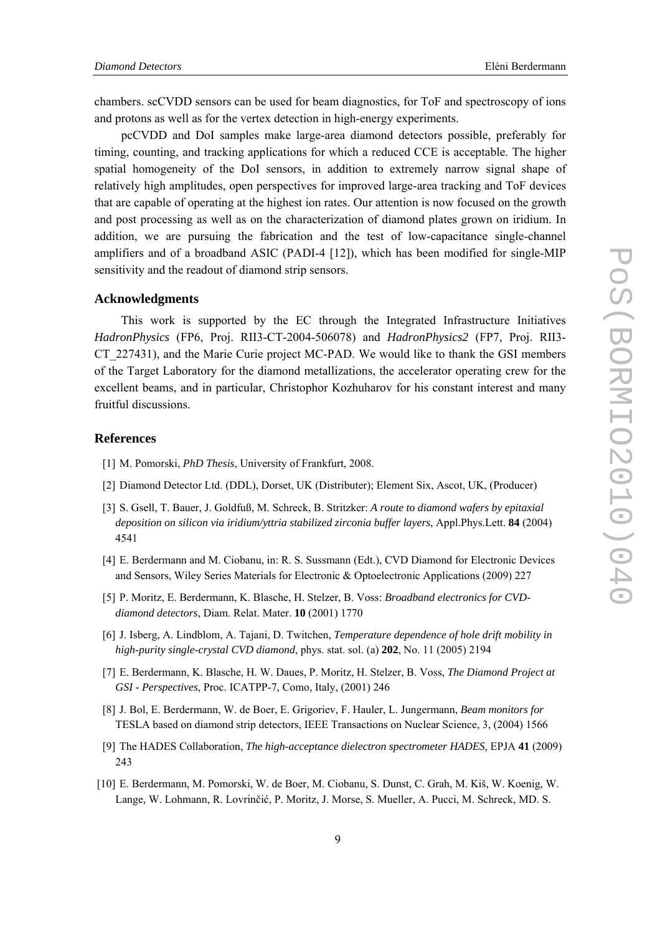chambers. scCVDD sensors can be used for beam diagnostics, for ToF and spectroscopy of ions and protons as well as for the vertex detection in high-energy experiments.

pcCVDD and DoI samples make large-area diamond detectors possible, preferably for timing, counting, and tracking applications for which a reduced CCE is acceptable. The higher spatial homogeneity of the DoI sensors, in addition to extremely narrow signal shape of relatively high amplitudes, open perspectives for improved large-area tracking and ToF devices that are capable of operating at the highest ion rates. Our attention is now focused on the growth and post processing as well as on the characterization of diamond plates grown on iridium. In addition, we are pursuing the fabrication and the test of low-capacitance single-channel amplifiers and of a broadband ASIC (PADI-4 [12]), which has been modified for single-MIP sensitivity and the readout of diamond strip sensors.

### **Acknowledgments**

This work is supported by the EC through the Integrated Infrastructure Initiatives *HadronPhysics* (FP6, Proj. RII3-CT-2004-506078) and *HadronPhysics2* (FP7, Proj. RII3- CT\_227431), and the Marie Curie project MC-PAD. We would like to thank the GSI members of the Target Laboratory for the diamond metallizations, the accelerator operating crew for the excellent beams, and in particular, Christophor Kozhuharov for his constant interest and many fruitful discussions.

### **References**

- [1] M. Pomorski, *PhD Thesis*, University of Frankfurt, 2008.
- [2] Diamond Detector Ltd. (DDL), Dorset, UK (Distributer); Element Six, Ascot, UK, (Producer)
- [3] S. Gsell, T. Bauer, J. Goldfuß, M. Schreck, B. Stritzker: *A route to diamond wafers by epitaxial deposition on silicon via iridium/yttria stabilized zirconia buffer layers*, Appl.Phys.Lett. **84** (2004) 4541
- [4] E. Berdermann and M. Ciobanu, in: R. S. Sussmann (Edt.), CVD Diamond for Electronic Devices and Sensors, Wiley Series Materials for Electronic & Optoelectronic Applications (2009) 227
- [5] P. Moritz, E. Berdermann, K. Blasche, H. Stelzer, B. Voss: *Broadband electronics for CVDdiamond detectors*, Diam. Relat. Mater. **10** (2001) 1770
- [6] J. Isberg, A. Lindblom, A. Tajani, D. Twitchen, *Temperature dependence of hole drift mobility in high-purity single-crystal CVD diamond*, phys. stat. sol. (a) **202**, No. 11 (2005) 2194
- [7] E. Berdermann, K. Blasche, H. W. Daues, P. Moritz, H. Stelzer, B. Voss, *The Diamond Project at GSI - Perspectives*, Proc. ICATPP-7, Como, Italy, (2001) 246
- [8] J. Bol, E. Berdermann, W. de Boer, E. Grigoriev, F. Hauler, L. Jungermann, *Beam monitors for*  TESLA based on diamond strip detectors, IEEE Transactions on Nuclear Science, 3, (2004) 1566
- [9] The HADES Collaboration, *The high-acceptance dielectron spectrometer HADES,* EPJA **41** (2009) 243
- [10] E. Berdermann, M. Pomorski, W. de Boer, M. Ciobanu, S. Dunst, C. Grah, M. Kiš, W. Koenig, W. Lange, W. Lohmann, R. Lovrinčić, P. Moritz, J. Morse, S. Mueller, A. Pucci, M. Schreck, MD. S.